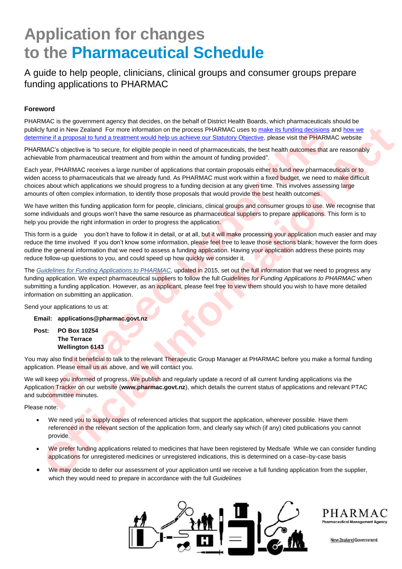# **Application for changes to the Pharmaceutical Schedule**

A guide to help people, clinicians, clinical groups and consumer groups prepare funding applications to PHARMAC

### **Foreword**

PHARMAC is the government agency that decides, on the behalf of District Health Boards, which pharmaceuticals should be publicly fund in New Zealand For more information on the process PHARMAC uses to make its funding decisions and how we determine if a proposal to fund a treatment would help us achieve our Statutory Objective, please visit the PHARMAC website

PHARMAC's objective is "to secure, for eligible people in need of pharmaceuticals, the best health outcomes that are reasonably achievable from pharmaceutical treatment and from within the amount of funding provided".

Each year, PHARMAC receives a large number of applications that contain proposals either to fund new pharmaceuticals or to widen access to pharmaceuticals that we already fund. As PHARMAC must work within a fixed budget, we need to make difficult choices about which applications we should progress to a funding decision at any given time. This involves assessing large amounts of often complex information, to identify those proposals that would provide the best health outcomes. than New Zealiand For more information on the process PHARMAC uses to <u>make its thr</u>aching decasions<br>the fit a processe of the prediction and transmit would help us achieve our Statutory Objective, please visit the PHARMAC

We have written this funding application form for people, clinicians, clinical groups and consumer groups to use. We recognise that some individuals and groups won't have the same resource as pharmaceutical suppliers to prepare applications. This form is to help you provide the right information in order to progress the application.

This form is a guide you don't have to follow it in detail, or at all, but it will make processing your application much easier and may reduce the time involved If you don't know some information, please feel free to leave those sections blank; however the form does outline the general information that we need to assess a funding application. Having your application address these points may reduce follow-up questions to you, and could speed up how quickly we consider it. iy function Metriculan Encore information on the precess PHARMAC cases to <u>make it for the case of the make the stresses and the stresses of the stresses and the stresses in the stresses and the stresses and the stresses a</u>

The *Guidelines for Funding Applications to PHARMAC,* updated in 2015, set out the full information that we need to progress any funding application. We expect pharmaceutical suppliers to follow the full *Guidelines for Funding Applications to PHARMAC* when submitting a funding application. However, as an applicant, please feel free to view them should you wish to have more detailed information on submitting an application.

Send your applications to us at:

**Email: applications@pharmac.govt.nz**

**Post: PO Box 10254 The Terrace Wellington 6143**

You may also find it beneficial to talk to the relevant Therapeutic Group Manager at PHARMAC before you make a formal funding application. Please email us as above, and we will contact you.

We will keep you informed of progress. We publish and regularly update a record of all current funding applications via the Application Tracker on our website (**www.pharmac.govt.nz**), which details the current status of applications and relevant PTAC and subcommittee minutes.

Please note:

- We need you to supply copies of referenced articles that support the application, wherever possible. Have them referenced in the relevant section of the application form, and clearly say which (if any) cited publications you cannot provide.
- We prefer funding applications related to medicines that have been registered by Medsafe While we can consider funding applications for unregistered medicines or unregistered indications, this is determined on a case–by-case basis
- We may decide to defer our assessment of your application until we receive a full funding application from the supplier, which they would need to prepare in accordance with the full *Guidelines*



PHARMAC

New Zealand Government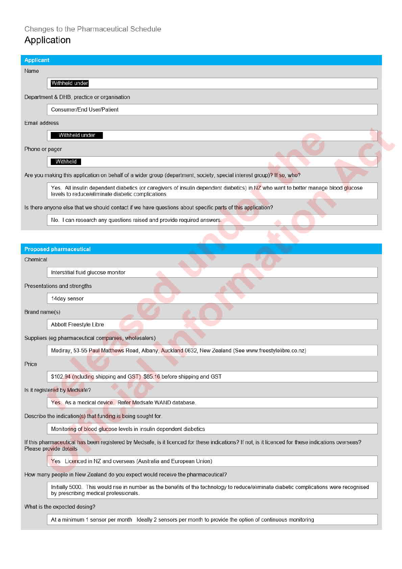## Changes to the Pharmaceutical Schedule Application

# **Applicant** Name Withheld under Department & DHB, practice or organisation Consumer/End User/Patient Email address Withheld under Phone or pager Withheld Are you making this application on behalf of a wider group (department, society, special interest group)? If so, who? Yes. All insulin dependent diabetics (or caregivers of insulin dependent diabetics) in NZ who want to better manage blood glucose levels to reduce/eliminate diabetic complications Is there anyone else that we should contact if we have questions about specific parts of this application? No. I can research any questions raised and provide required answers.

#### **Proposed pharmaceutical**

Chemical

Interstitial fluid glucose monitor

Presentations and strengths

14day sensor

Brand name(s)

Abbott Freestyle Libre

Suppliers (eg pharmaceutical companies, wholesalers)

Mediray, 53-55 Paul Matthews Road, Albany, Auckland 0632, New Zealand (See www.freestylelibre.co.nz)

Price

\$102.94 (ncluding shipping and GST) \$85.16 before shipping and GST

Is it registered by Medsafe?

Yes. As a medical device. Refer Medsafe WAND database.

Describe the indication(s) that funding is being sought for.

Monitoring of blood glucose levels in insulin dependent diabetics

If this pharmaceutical has been registered by Medsafe, is it licenced for these indications? If not, is it licenced for these indications overseas? Please provide details

Yes Licenced in NZ and overseas (Australia and European Union)

How many people in New Zealand do you expect would receive the pharmaceutical?

Initially 5000. This would rise in number as the benefits of the technology to reduce/eliminate diabetic complications were recognised by prescribing medical professionals.

What is the expected dosing?

At a minimum 1 sensor per month Ideally 2 sensors per month to provide the option of continuous monitoring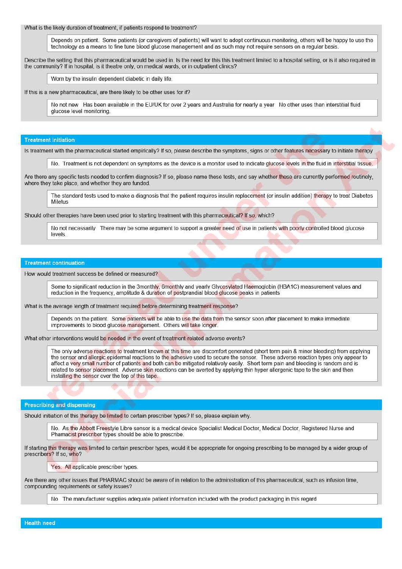What is the likely duration of treatment, if patients respond to treatment?

Depends on patient. Some patients (or caregivers of patients) will want to adopt continuous monitoring, others will be happy to use the technology as a means to fine tune blood glucose management and as such may not require sensors on a regular basis.

Describe the setting that this pharmaceutical would be used in. Is the need for this this treatment limited to a hospital setting, or is it also required in the community? If in hospital, is it theatre only, on medical wards, or in outpatient clinics?

Worn by the insulin dependent diabetic in daily life.

If this is a new pharmaceutical, are there likely to be other uses for it?

No not new Has been available in the EU/UK for over 2 years and Australia for nearly a year No other uses than interstitial fluid alucose level monitorina.

#### **Treatment initiation**

Is treatment with the pharmaceutical started empirically? If so, please describe the symptoms, signs or other features necessary to initiate therapy

No. Treatment is not dependent on symptoms as the device is a monitor used to indicate glucose levels in the fluid in interstitial tissue.

Are there any specific tests needed to confirm diagnosis? If so, please name these tests, and say whether these are currently performed routinely. where they take place, and whether they are funded.

The standard tests used to make a diagnosis that the patient requires insulin replacement (or insulin addition) therapy to treat Diabetes Miletus

Should other therapies have been used prior to starting treatment with this pharmaceutical? If so, which?

No not necessarily There may be some argument to support a greater need of use in patients with poorly controlled blood glucose levels.

#### **Treatment continuation**

How would treatment success be defined or measured?

Some to significant reduction in the 3monthly, 6monthly and yearly Glycosylated Haemoglobin (HBA1C) measurement values and reduction in the frequency, amplitude & duration of postprandial blood glucose peaks in patients

What is the average length of treatment required before determining treatment response?

Depends on the patient. Some patients will be able to use the data from the sensor soon after placement to make immediate improvements to blood glucose management. Others will take longer.

What other interventions would be needed in the event of treatment-related adverse events?

The only adverse reactions to treatment known at this time are discomfort generated (short term pain & minor bleeding) from applying the sensor and allergic epidermal reactions to the adhesive used to secure the sensor. These adverse reaction types only appear to affect a very small number of patients and both can be mitigated relatively easily. Short term pain and bleeding is random and is related to sensor placement. Adverse skin reactions can be averted by applying thin hyper allergenic tape to the skin and then installing the sensor over the top of this tape.

#### **Prescribing and dispensing**

Should initiation of this therapy be limited to certain prescriber types? If so, please explain why.

No. As the Abbott Freestyle Libre sensor is a medical device Specialist Medical Doctor, Medical Doctor, Registered Nurse and Phamacist prescriber types should be able to prescribe.

If starting this therapy was limited to certain prescriber types, would it be appropriate for ongoing prescribing to be managed by a wider group of prescribers? If so, who?

Yes. All applicable prescriber types.

Are there any other issues that PHARMAC should be aware of in relation to the administration of this pharmaceutical, such as infusion time. compounding requirements or safety issues?

No The manufacturer supplies adequate patient information included with the product packaging in this regard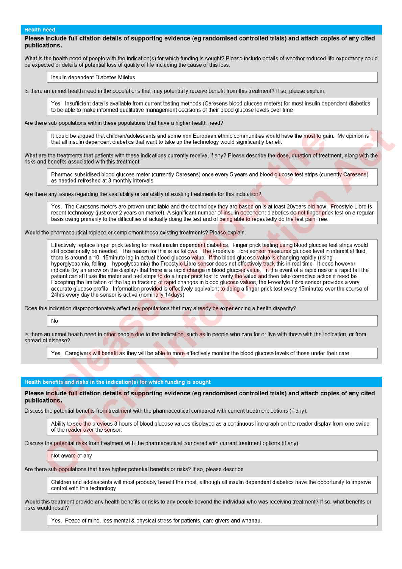#### **Health need**

#### Please include full citation details of supporting evidence (eg randomised controlled trials) and attach copies of any cited publications.

What is the health need of people with the indication(s) for which funding is sought? Please include details of whether reduced life expectancy could be expected or details of potential loss of quality of life including the cause of this loss.

#### Insulin dependent Diabetes Miletus

Is there an unmet health need in the populations that may potentially receive benefit from this treatment? If so, please explain.

Yes Insufficient data is available from current testing methods (Caresens blood glucose meters) for most insulin dependent diabetics to be able to make informed qualitative management decisions of their blood glucose levels over time

Are there sub-populations within these populations that have a higher health need?

It could be argued that children/adolescents and some non European ethnic communities would have the most to gain. My opinion is that all insulin dependent diabetics that want to take up the technology would significantly benefit

What are the treatments that patients with these indications currently receive, if any? Please describe the dose, duration of treatment, along with the risks and benefits associated with this treatment

Pharmac subsidised blood glucose meter (currently Caresens) once every 5 years and blood glucose test strips (currently Caresens) as needed refreshed at 3 monthly intervals

Are there any issues regarding the availability or suitability of existing treatments for this indication?

Yes. The Caresens meters are proven unreliable and the technology they are based on is at least 20 years old now. Freestyle Libre is recent technology (just over 2 years on market). A significant number of insulin dependent diabetics do not finger prick test on a regular basis owing primarily to the difficulties of actually doing the test and of being able to repeatedly do the test pain-free.

Would the pharmaceutical replace or complement these existing treatments? Please explain

Effectively replace finger prick testing for most insulin dependent diabetics. Finger prick testing using blood glucose test strips would still occasionally be needed. The reason for this is as follows. The Freestyle Libre sensor measures glucose level in interstitial fluid, there is around a 10-15minute lag in actual blood glucose value. If the blood glucose value is changing rapidly (rising hyperglycaemia, falling hypoglycaemia) the Freestyle Libre sensor does not effectively track this in real time it does however indicate (by an arrow on the display) that there is a rapid change in blood glucose value. In the event of a rapid rise or a rapid fall the patient can still use the meter and test strips to do a finger prick test to verify the value and then take corrective action if need be. Excepting the limitation of the lag in tracking of rapid changes in blood glucose values, the Freestyle Libre sensor provides a very accurate glucose profile. Information provided is effectively equivalent to doing a finger prick test every 15minutes over the course of 24hrs every day the sensor is active (nominally 14days)

Does this indication disproportionately affect any populations that may already be experiencing a health disparity?

No

Is there an unmet health need in other people due to the indication, such as in people who care for or live with those with the indication, or from spread of disease?

Yes. Caregivers will benefit as they will be able to more effectively monitor the blood glucose levels of those under their care.

#### Health benefits and risks in the indication(s) for which funding is sought

Please include full citation details of supporting evidence (eg randomised controlled trials) and attach copies of any cited publications.

Discuss the potential benefits from treatment with the pharmaceutical compared with current treatment options (if any).

Ability to see the previous 8 hours of blood glucose values displayed as a continuous line graph on the reader display from one swipe of the reader over the sensor.

Discuss the potential risks from treatment with the pharmaceutical compared with current treatment options (if any).

#### Not aware of any

Are there sub-populations that have higher potential benefits or risks? If so, please describe

Children and adolescents will most probably benefit the most, although all insulin dependent diabetics have the opportunity to improve control with this technology

Would this treatment provide any health benefits or risks to any people beyond the individual who was receiving treatment? If so, what benefits or risks would result?

Yes. Peace of mind, less mental & physical stress for patients, care givers and whanau.